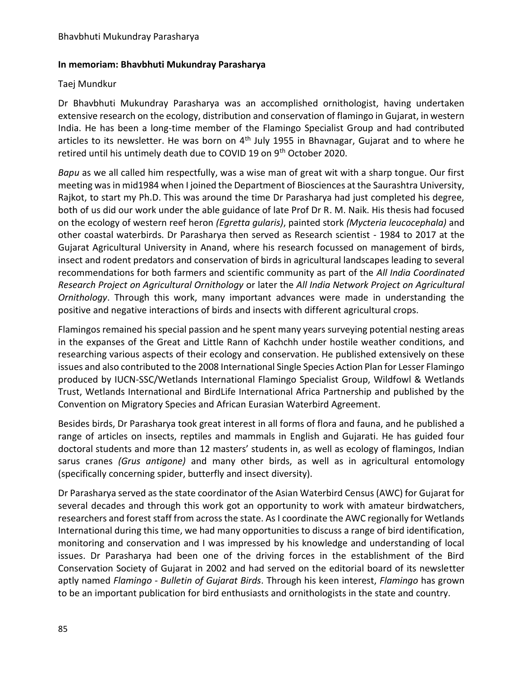## **In memoriam: Bhavbhuti Mukundray Parasharya**

## Taej Mundkur

Dr Bhavbhuti Mukundray Parasharya was an accomplished ornithologist, having undertaken extensive research on the ecology, distribution and conservation of flamingo in Gujarat, in western India. He has been a long-time member of the Flamingo Specialist Group and had contributed articles to its newsletter. He was born on  $4<sup>th</sup>$  July 1955 in Bhavnagar, Gujarat and to where he retired until his untimely death due to COVID 19 on 9<sup>th</sup> October 2020.

*Bapu* as we all called him respectfully, was a wise man of great wit with a sharp tongue. Our first meeting was in mid1984 when I joined the Department of Biosciences at the Saurashtra University, Rajkot, to start my Ph.D. This was around the time Dr Parasharya had just completed his degree, both of us did our work under the able guidance of late Prof Dr R. M. Naik. His thesis had focused on the ecology of western reef heron *(Egretta gularis)*, painted stork *(Mycteria leucocephala)* and other coastal waterbirds. Dr Parasharya then served as Research scientist - 1984 to 2017 at the Gujarat Agricultural University in Anand, where his research focussed on management of birds, insect and rodent predators and conservation of birds in agricultural landscapes leading to several recommendations for both farmers and scientific community as part of the *All India Coordinated Research Project on Agricultural Ornithology* or later the *All India Network Project on Agricultural Ornithology*. Through this work, many important advances were made in understanding the positive and negative interactions of birds and insects with different agricultural crops.

Flamingos remained his special passion and he spent many years surveying potential nesting areas in the expanses of the Great and Little Rann of Kachchh under hostile weather conditions, and researching various aspects of their ecology and conservation. He published extensively on these issues and also contributed to the 2008 International Single Species Action Plan for Lesser Flamingo produced by IUCN-SSC/Wetlands International Flamingo Specialist Group, Wildfowl & Wetlands Trust, Wetlands International and BirdLife International Africa Partnership and published by the Convention on Migratory Species and African Eurasian Waterbird Agreement.

Besides birds, Dr Parasharya took great interest in all forms of flora and fauna, and he published a range of articles on insects, reptiles and mammals in English and Gujarati. He has guided four doctoral students and more than 12 masters' students in, as well as ecology of flamingos, Indian sarus cranes *(Grus antigone)* and many other birds, as well as in agricultural entomology (specifically concerning spider, butterfly and insect diversity).

Dr Parasharya served as the state coordinator of the Asian Waterbird Census (AWC) for Gujarat for several decades and through this work got an opportunity to work with amateur birdwatchers, researchers and forest staff from across the state. As I coordinate the AWC regionally for Wetlands International during this time, we had many opportunities to discuss a range of bird identification, monitoring and conservation and I was impressed by his knowledge and understanding of local issues. Dr Parasharya had been one of the driving forces in the establishment of the Bird Conservation Society of Gujarat in 2002 and had served on the editorial board of its newsletter aptly named *Flamingo - Bulletin of Gujarat Birds*. Through his keen interest, *Flamingo* has grown to be an important publication for bird enthusiasts and ornithologists in the state and country.